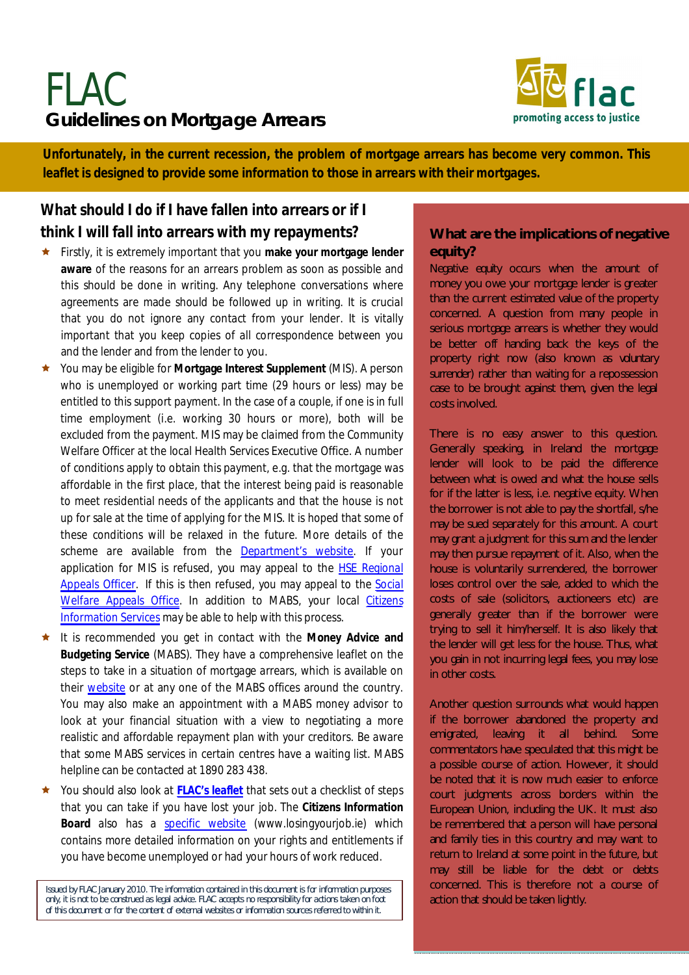# **Guidelines on Mortgage Arrears** FLAC



Unfortunately, in the current recession, the problem of mortgage arrears has become very common. This **common. This leaflet is designed to provide some information to those in arrears with their mortgages. leaflet is designed to provide some information to those in arrears with their mortgages.** 

## **What should I do if I have fallen into arrears or if I think I will fall into arrears with my repayments?**

- Firstly, it is extremely important that you **make your mortgage lender aware** of the reasons for an arrears problem as soon as possible and this should be done in writing. Any telephone conversations where agreements are made should be followed up in writing. It is crucial that you do not ignore any contact from your lender. It is vitally important that you keep copies of all correspondence between you and the lender and from the lender to you.
- You may be eligible for **Mortgage Interest Supplement** (MIS). A person who is unemployed or working part time (29 hours or less) may be entitled to this support payment. In the case of a couple, if one is in full time employment (i.e. working 30 hours or more), both will be excluded from the payment. MIS may be claimed from the Community Welfare Officer at the local Health Services Executive Office. A number of conditions apply to obtain this payment, e.g. that the mortgage was affordable in the first place, that the interest being paid is reasonable to meet residential needs of the applicants and that the house is not up for sale at the time of applying for the MIS. It is hoped that some of these conditions will be relaxed in the future. More details of the scheme are available from the [Department's website](http://www.irishstatutebook.ie/1997/en/act/pub/0026/sec0011.html#zza26y1997s11). If your application for MIS is refused, you may appeal to the [HSE Regional](http://www.hse.ie/eng/services/ysys/Appeals/Appeals_Officers_Contact_Details/) [Appeals Officer](http://www.hse.ie/eng/services/ysys/Appeals/Appeals_Officers_Contact_Details/). If this is then refused, you may appeal to the [Social](http://www.socialwelfareappeals.ie/)  [Welfare Appeals Office.](http://www.socialwelfareappeals.ie/) In addition to MABS, your local [Citizens](http://findaddress.citizensinformation.ie/service_finder/) [Information Services](http://findaddress.citizensinformation.ie/service_finder/) may be able to help with this process.
- It is recommended you get in contact with the **Money Advice and Budgeting Service** (MABS). They have a comprehensive leaflet on the steps to take in a situation of mortgage arrears, which is available on their [website](http://www.mabs.ie/) or at any one of the MABS offices around the country. You may also make an appointment with a MABS money advisor to look at your financial situation with a view to negotiating a more realistic and affordable repayment plan with your creditors. Be aware that some MABS services in certain centres have a waiting list. MABS helpline can be contacted at 1890 283 438.
- You should also look at **[FLAC's leaflet](http://www.flac.ie/publications/checklist-for-actions-on-losing-job-feb-09/)** that sets out a checklist of steps that you can take if you have lost your job. The **Citizens Information Board** also has a [specific website](http://www.losingyourjob.ie/) (www.losingyourjob.ie) which contains more detailed information on your rights and entitlements if you have become unemployed or had your hours of work reduced.

*Issued by FLAC January 2010. The information contained in this document is for information purposes only, it is not to be construed as legal advice. FLAC accepts no responsibility for actions taken on foot of this document or for the content of external websites or information sources referred to within it.*

#### **What are the implications of negative equity?**

*Negative equity* occurs when the amount of money you owe your mortgage lender is greater than the current estimated value of the property concerned. A question from many people in serious mortgage arrears is whether they would be better off handing back the keys of the property right now (also known as *voluntary surrender*) rather than waiting for a repossession case to be brought against them, given the legal costs involved.

There is no easy answer to this question. Generally speaking, in Ireland the mortgage lender will look to be paid the difference between what is owed and what the house sells for if the latter is less, i.e. negative equity. When the borrower is not able to pay the shortfall, s/he may be sued separately for this amount. A court may grant a judgment for this sum and the lender may then pursue repayment of it. Also, when the house is voluntarily surrendered, the borrower loses control over the sale, added to which the costs of sale (solicitors, auctioneers etc) are generally greater than if the borrower were trying to sell it him/herself. It is also likely that the lender will get less for the house. Thus, what you gain in not incurring legal fees, you may lose in other costs.

Another question surrounds what would happen if the borrower abandoned the property and emigrated, leaving it all behind. Some commentators have speculated that this might be a possible course of action. However, it should be noted that it is now much easier to enforce court judgments across borders within the European Union, including the UK. It must also be remembered that a person will have personal and family ties in this country and may want to return to Ireland at some point in the future, but may still be liable for the debt or debts concerned. This is therefore not a course of action that should be taken lightly.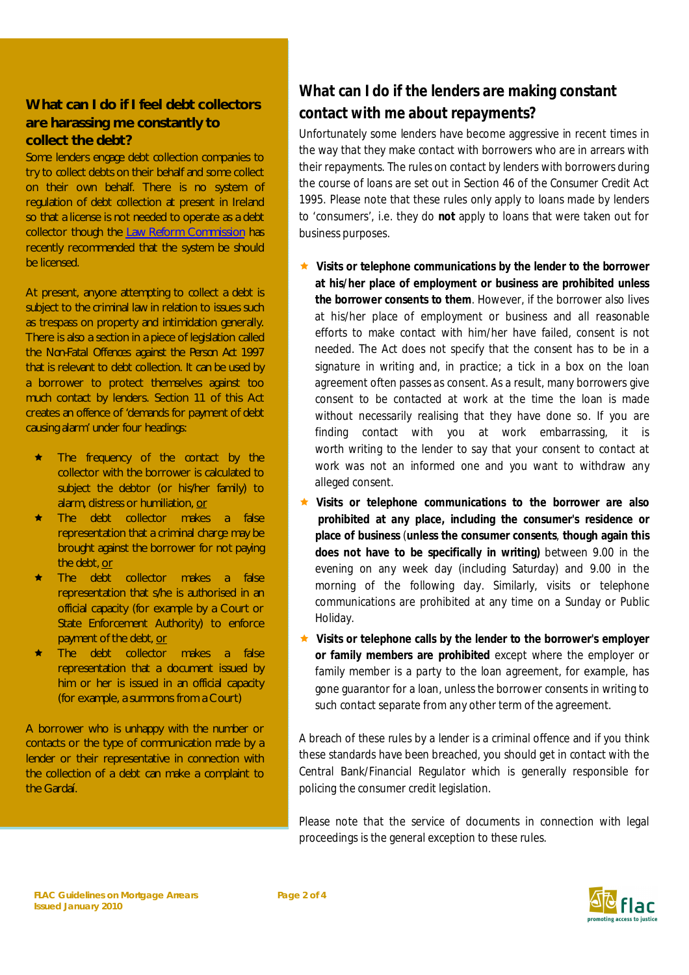#### **What can I do if I feel debt collectors are harassing me constantly to collect the debt?**

Some lenders engage debt collection companies to try to collect debts on their behalf and some collect on their own behalf. There is no system of regulation of debt collection at present in Ireland so that a license is not needed to operate as a debt collector though the [Law Reform Commission](http://www.irishstatutebook.ie/1997/en/act/pub/0026/sec0011.html#zza26y1997s11) has recently recommended that the system be should be licensed.

At present, anyone attempting to collect a debt is subject to the criminal law in relation to issues such as trespass on property and intimidation generally. There is also a section in a piece of legislation called the *Non-Fatal Offences against the Person Act* 1997 that is relevant to debt collection. It can be used by a borrower to protect themselves against too much contact by lenders. Section 11 of this Act creates an offence of 'demands for payment of debt causing alarm' under four headings:

- The frequency of the contact by the collector with the borrower is calculated to subject the debtor (or his/her family) to alarm, distress or humiliation, or
- **\*** The debt collector makes a false representation that a criminal charge may be brought against the borrower for not paying the debt, or
- **The debt collector makes a false** representation that s/he is authorised in an official capacity (for example by a Court or State Enforcement Authority) to enforce payment of the debt, or
- The debt collector makes a false representation that a document issued by him or her is issued in an official capacity (for example, a summons from a Court)

A borrower who is unhappy with the number or contacts or the type of communication made by a lender or their representative in connection with the collection of a debt can make a complaint to the Gardaí.

# **What can I do if the lenders are making constant contact with me about repayments?**

Unfortunately some lenders have become aggressive in recent times in the way that they make contact with borrowers who are in arrears with their repayments. The rules on contact by lenders with borrowers during the course of loans are set out in Section 46 of the *Consumer Credit Act*  1995. Please note that these rules only apply to loans made by lenders to 'consumers', i.e. they do **not** apply to loans that were taken out for business purposes.

- **Visits or telephone communications by the lender to the borrower at his/her place of employment or business are prohibited unless the borrower consents to them**. However, if the borrower also lives at his/her place of employment or business and all reasonable efforts to make contact with him/her have failed, consent is not needed. The Act does not specify that the consent has to be in a signature in writing and, in practice; a tick in a box on the loan agreement often passes as consent. As a result, many borrowers give consent to be contacted at work at the time the loan is made without necessarily realising that they have done so. If you are finding contact with you at work embarrassing, it is worth writing to the lender to say that your consent to contact at work was not an informed one and you want to withdraw any alleged consent.
- **Visits or telephone communications to the borrower are also prohibited at any place, including the consumer's residence or place of business** (**unless the consumer consents**, **though again this does not have to be specifically in writing)** between 9.00 in the evening on any week day (including Saturday) and 9.00 in the morning of the following day. Similarly, visits or telephone communications are prohibited at any time on a Sunday or Public Holiday.
- **Visits or telephone calls by the lender to the borrower's employer or family members are prohibited** except where the employer or family member is a party to the loan agreement, for example, has gone guarantor for a loan, unless the borrower consents in writing to such contact separate from any other term of the agreement.

A breach of these rules by a lender is a criminal offence and if you think these standards have been breached, you should get in contact with the Central Bank/Financial Regulator which is generally responsible for policing the consumer credit legislation.

Please note that the service of documents in connection with legal proceedings is the general exception to these rules.

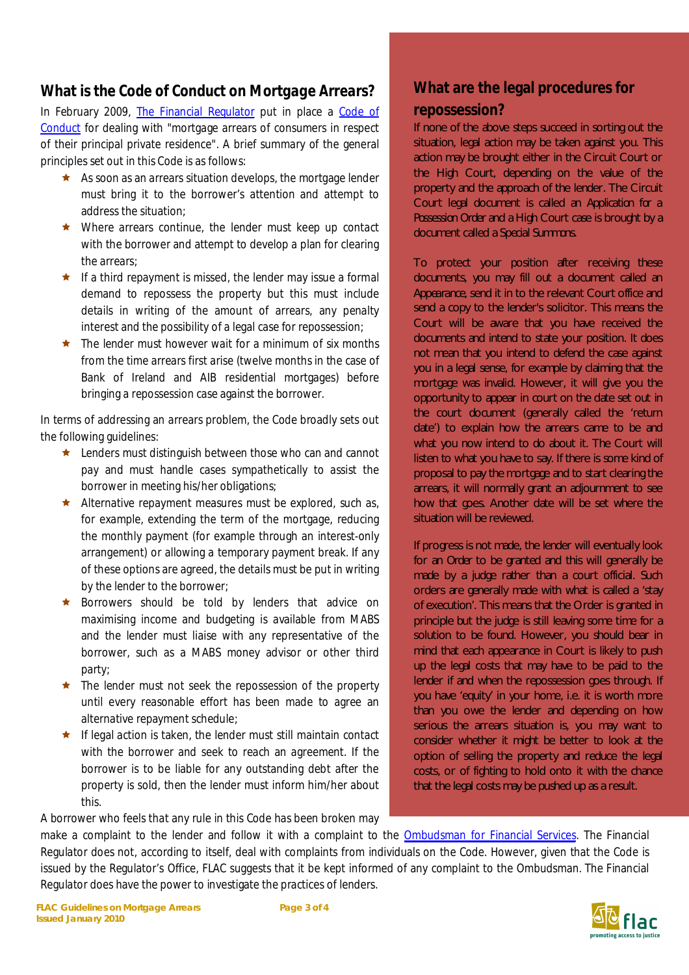### **What is the** *Code of Conduct on Mortgage Arrears***?**

In February 2009, [The Financial Regulator](http://www.financialregulator.ie/Pages/home.aspx) put in place a [Code of](http://www.financialregulator.ie/processes/consumer-protection-code/Pages/codes-of-conduct.aspx) [Conduct](http://www.financialregulator.ie/processes/consumer-protection-code/Pages/codes-of-conduct.aspx) for dealing with "mortgage arrears of consumers in respect of their principal private residence". A brief summary of the general principles set out in this Code is as follows:

- $\star$  As soon as an arrears situation develops, the mortgage lender must bring it to the borrower's attention and attempt to address the situation;
- ★ Where arrears continue, the lender must keep up contact with the borrower and attempt to develop a plan for clearing the arrears;
- $\star$  If a third repayment is missed, the lender may issue a formal demand to repossess the property but this must include details in writing of the amount of arrears, any penalty interest and the possibility of a legal case for repossession;
- $\star$  The lender must however wait for a minimum of six months from the time arrears first arise (twelve months in the case of Bank of Ireland and AIB residential mortgages) before bringing a repossession case against the borrower.

In terms of addressing an arrears problem, the Code broadly sets out the following guidelines:

- ★ Lenders must distinguish between those who can and cannot pay and must handle cases sympathetically to assist the borrower in meeting his/her obligations;
- Alternative repayment measures must be explored, such as, for example, extending the term of the mortgage, reducing the monthly payment (for example through an interest-only arrangement) or allowing a temporary payment break. If any of these options are agreed, the details must be put in writing by the lender to the borrower;
- ★ Borrowers should be told by lenders that advice on maximising income and budgeting is available from MABS and the lender must liaise with any representative of the borrower, such as a MABS money advisor or other third party;
- ★ The lender must not seek the repossession of the property until every reasonable effort has been made to agree an alternative repayment schedule;
- $\star$  If legal action is taken, the lender must still maintain contact with the borrower and seek to reach an agreement. If the borrower is to be liable for any outstanding debt after the property is sold, then the lender must inform him/her about this.

A borrower who feels that any rule in this Code has been broken may

## **What are the legal procedures for repossession?**

If none of the above steps succeed in sorting out the situation, legal action may be taken against you. This action may be brought either in the Circuit Court or the High Court, depending on the value of the property and the approach of the lender. The Circuit Court legal document is called an *Application for a Possession Order* and a High Court case is brought by a document called a *Special Summons*.

To protect your position after receiving these documents, you may fill out a document called an *Appearance*, send it in to the relevant Court office and send a copy to the lender's solicitor. This means the Court will be aware that you have received the documents and intend to state your position. It does not mean that you intend to defend the case against you in a legal sense, for example by claiming that the mortgage was invalid. However, it will give you the opportunity to appear in court on the date set out in the court document (generally called the 'return date') to explain how the arrears came to be and what you now intend to do about it. The Court will listen to what you have to say. If there is some kind of proposal to pay the mortgage and to start clearing the arrears, it will normally grant an adjournment to see how that goes. Another date will be set where the situation will be reviewed.

If progress is not made, the lender will eventually look for an *Order* to be granted and this will generally be made by a judge rather than a court official. Such orders are generally made with what is called a 'stay of execution'. This means that the Order is granted in principle but the judge is still leaving some time for a solution to be found. However, you should bear in mind that each appearance in Court is likely to push up the legal costs that may have to be paid to the lender if and when the repossession goes through. If you have 'equity' in your home, i.e. it is worth more than you owe the lender and depending on how serious the arrears situation is, you may want to consider whether it might be better to look at the option of selling the property and reduce the legal costs, or of fighting to hold onto it with the chance that the legal costs may be pushed up as a result.

make a complaint to the lender and follow it with a complaint to the [Ombudsman for Financial Services](http://www.financialombudsman.ie/). The Financial Regulator does not, according to itself, deal with complaints from individuals on the Code. However, given that the Code is issued by the Regulator's Office, FLAC suggests that it be kept informed of any complaint to the Ombudsman. The Financial Regulator does have the power to investigate the practices of lenders.